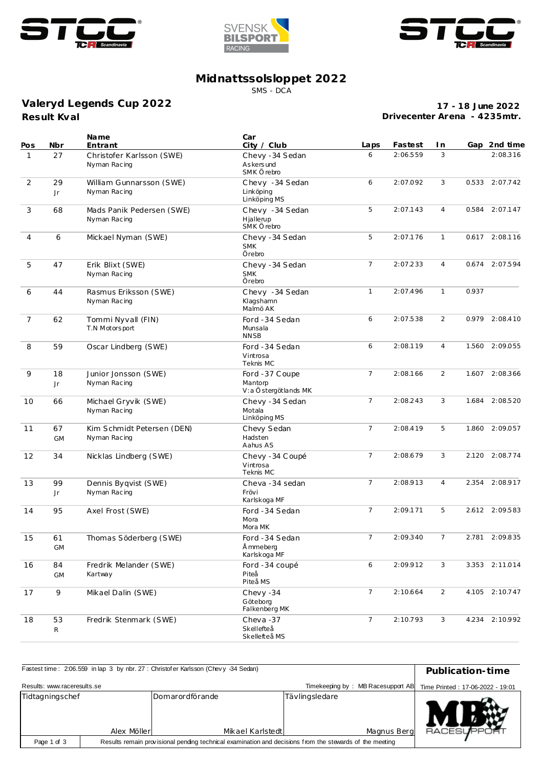





## **Midnattssolsloppet 2022**

SMS - DCA

## **Result Kval Valeryd Legends Cup 2022**

**17 - 18 June 2022 Drivecenter Arena - 4235mtr.**

| Pos            | Nbr             | Name<br>Entrant                            | Car<br>City / Club                                | Laps                       | Fastest  | I n            |       | Gap 2nd time   |
|----------------|-----------------|--------------------------------------------|---------------------------------------------------|----------------------------|----------|----------------|-------|----------------|
| $\mathbf{1}$   | 27              | Christofer Karlsson (SWE)<br>Nyman Racing  | Chevy -34 Sedan<br>As kers und<br>SMK Örebro      | 6                          | 2:06.559 | 3              |       | 2:08.316       |
| 2              | 29<br>Jr.       | William Gunnarsson (SWE)<br>Nyman Racing   | Chevy -34 Sedan<br>Linköping<br>Linköping MS      | 6                          | 2:07.092 | 3              | 0.533 | 2:07.742       |
| 3              | 68              | Mads Panik Pedersen (SWE)<br>Nyman Racing  | Chevy -34 Sedan<br>Hjallerup<br>SMK Örebro        | 5                          | 2:07.143 | $\overline{4}$ | 0.584 | 2:07.147       |
| $\overline{4}$ | 6               | Mickael Nyman (SWE)                        | Chevy -34 Sedan<br><b>SMK</b><br>Örebro           | 5                          | 2:07.176 | $\mathbf{1}$   |       | 0.617 2:08.116 |
| 5              | 47              | Erik Blixt (SWE)<br>Nyman Racing           | Chevy -34 Sedan<br><b>SMK</b><br>Örebro           | $\overline{7}$<br>2:07.233 |          | 4              |       | 0.674 2:07.594 |
| 6              | 44              | Rasmus Eriksson (SWE)<br>Nyman Racing      | Chevy -34 Sedan<br>Klagshamn<br>Malmö AK          | $\mathbf{1}$<br>2:07.496   |          | $\mathbf{1}$   | 0.937 |                |
| $\overline{7}$ | 62              | Tommi Nyvall (FIN)<br>T.N Motorsport       | Ford -34 Sedan<br>Munsala<br><b>NNSB</b>          | 6                          | 2:07.538 | 2              |       | 0.979 2:08.410 |
| 8              | 59              | Oscar Lindberg (SWE)                       | Ford -34 Sedan<br>Vintrosa<br>Teknis MC           | 6                          | 2:08.119 | $\overline{4}$ |       | 1.560 2:09.055 |
| 9              | 18<br>Jr        | Junior Jonsson (SWE)<br>Nyman Racing       | Ford -37 Coupe<br>Mantorp<br>V:a Östergötlands MK | $\overline{7}$             | 2:08.166 | 2              | 1.607 | 2:08.366       |
| 10             | 66              | Michael Gryvik (SWE)<br>Nyman Racing       | Chevy -34 Sedan<br>Motala<br>Linköping MS         | $\overline{7}$             | 2:08.243 | 3              | 1.684 | 2:08.520       |
| 11             | 67<br><b>GM</b> | Kim Schmidt Petersen (DEN)<br>Nyman Racing | Chevy Sedan<br>Hadsten<br>Aahus AS                | $\overline{7}$             | 2:08.419 | 5              | 1.860 | 2:09.057       |
| 12             | 34              | Nicklas Lindberg (SWE)                     | Chevy - 34 Coupé<br>Vintrosa<br>Teknis MC         | $\overline{7}$             | 2:08.679 | 3              |       | 2.120 2:08.774 |
| 13             | 99<br>Jr        | Dennis Byqvist (SWE)<br>Nyman Racing       | Cheva -34 sedan<br>Frövi<br>Karlskoga MF          | $\overline{7}$             | 2:08.913 | 4              | 2.354 | 2:08.917       |
| 14             | 95              | Axel Frost (SWE)                           | Ford -34 Sedan<br>Mora<br>Mora MK                 | $\overline{7}$             | 2:09.171 | 5              |       | 2.612 2:09.583 |
| 15             | 61<br>GM        | Thomas Söderberg (SWE)                     | Ford -34 Sedan<br>Å mmeberg<br>Karlskoga MF       | $\overline{7}$             | 2:09.340 | $\overline{7}$ |       | 2.781 2:09.835 |
| 16             | 84<br>GM        | Fredrik Melander (SWE)<br>Kartway          | Ford -34 coupé<br>Piteå<br>Piteå MS               | 6                          | 2:09.912 | 3              |       | 3.353 2:11.014 |
| 17             | 9               | Mikael Dalin (SWE)                         | Chevy -34<br>Göteborg<br>Falkenberg MK            | $7\overline{ }$            | 2:10.664 | $\overline{2}$ |       | 4.105 2:10.747 |
| 18             | 53<br>R         | Fredrik Stenmark (SWE)                     | Cheva-37<br>Skellefteå<br>Skellefteå MS           | $\overline{7}$             | 2:10.793 | 3              |       | 4.234 2:10.992 |

| Fastest time: 2:06.559 in lap 3 by nbr. 27 : Christof er Karlsson (Chevy -34 Sedan)                                    | Publication-time                                                      |                                     |                |             |                     |
|------------------------------------------------------------------------------------------------------------------------|-----------------------------------------------------------------------|-------------------------------------|----------------|-------------|---------------------|
| Results: www.raceresults.se                                                                                            | Timekeeping by: MB Racesupport AB<br>Time Printed: 17-06-2022 - 19:01 |                                     |                |             |                     |
| Tidtagningschef                                                                                                        | Alex Möller                                                           | Domarordförande<br>Mikael Karlstedt | Tävlingsledare | Magnus Berg | <b>RACESLIFPORT</b> |
| Results remain provisional pending technical examination and decisions from the stewards of the meeting<br>Page 1 of 3 |                                                                       |                                     |                |             |                     |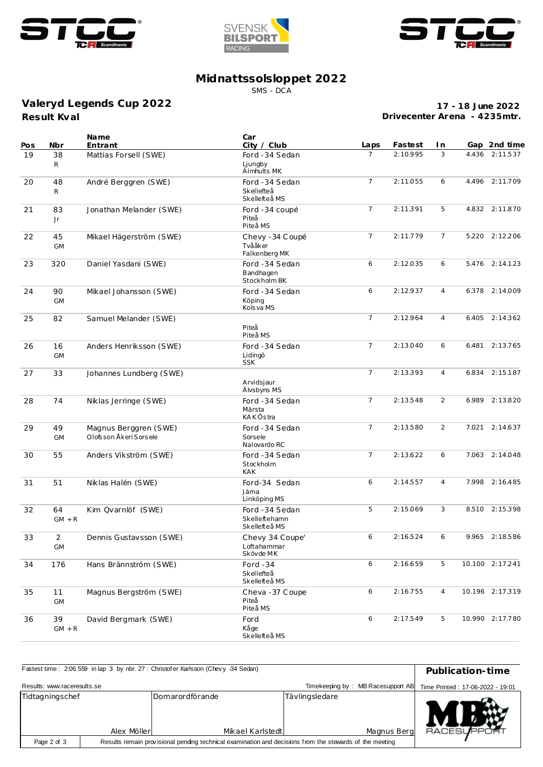





## **Midnattssolsloppet 2022**

SMS - DCA

**Result Kval Valeryd Legends Cup 2022**

**17 - 18 June 2022 Drivecenter Arena - 4235mtr.**

| Pos | Nbr                  | Name<br>Entrant                                   | Car<br>City / Club                               | Laps            | Fastest  | I n            |       | Gap 2nd time    |
|-----|----------------------|---------------------------------------------------|--------------------------------------------------|-----------------|----------|----------------|-------|-----------------|
| 19  | 38<br>R              | Mattias Forsell (SWE)                             | Ford -34 Sedan<br>Ljungby<br>Älmhults MK         | $\overline{7}$  | 2:10.995 | 3              | 4.436 | 2:11.537        |
| 20  | 48<br>R              | André Berggren (SWE)                              | Ford -34 Sedan<br>Skellefteå<br>Skellefteå MS    | $\overline{7}$  | 2:11.055 | 6              |       | 4.496 2:11.709  |
| 21  | 83<br>Jr             | Jonathan Melander (SWE)                           | Ford -34 coupé<br>Piteå<br>Piteå MS              | $\overline{7}$  | 2:11.391 | 5              |       | 4.832 2:11.870  |
| 22  | 45<br><b>GM</b>      | Mikael Hägerström (SWE)                           | Chevy - 34 Coupé<br>Tvååker<br>Falkenberg MK     | $\overline{7}$  | 2:11.779 | $\overline{7}$ |       | 5.220 2:12.206  |
| 23  | 320                  | Daniel Yasdani (SWE)                              | Ford -34 Sedan<br>Bandhagen<br>Stockholm BK      | 6               | 2:12.035 | 6              |       | 5.476 2:14.123  |
| 24  | 90<br><b>GM</b>      | Mikael Johansson (SWE)                            | Ford -34 Sedan<br>Köping<br>Kols va MS           | 6               | 2:12.937 | $\overline{4}$ | 6.378 | 2:14.009        |
| 25  | 82                   | Samuel Melander (SWE)                             | Piteå<br>Piteå MS                                | $\overline{7}$  | 2:12.964 | $\overline{4}$ | 6.405 | 2:14.362        |
| 26  | 16<br><b>GM</b>      | Anders Henriksson (SWE)                           | Ford -34 Sedan<br>Lidingö<br><b>SSK</b>          | $7\overline{ }$ | 2:13.040 | 6              | 6.481 | 2:13.765        |
| 27  | 33                   | Johannes Lundberg (SWE)                           | Arvidsjaur<br>Älvsbyns MS                        | $\overline{7}$  | 2:13.393 | $\overline{4}$ | 6.834 | 2:15.187        |
| 28  | 74                   | Niklas Jerringe (SWE)                             | Ford -34 Sedan<br>Märsta<br><b>KAKÖstra</b>      | $\overline{7}$  | 2:13.548 | 2              | 6.989 | 2:13.820        |
| 29  | 49<br><b>GM</b>      | Magnus Berggren (SWE)<br>Olofs son Åkeri Sors ele | Ford -34 Sedan<br>Sorsele<br>Nalovardo RC        | $\overline{7}$  | 2:13.580 | 2              | 7.021 | 2:14.637        |
| 30  | 55                   | Anders Vikström (SWE)                             | Ford -34 Sedan<br>Stockholm<br><b>KAK</b>        | $7\overline{ }$ | 2:13.622 | 6              | 7.063 | 2:14.048        |
| 31  | 51                   | Niklas Halén (SWE)                                | Ford-34 Sedan<br>Jäma<br>Linköping MS            | 6               | 2:14.557 | $\overline{4}$ | 7.998 | 2:16.485        |
| 32  | 64<br>$GM + R$       | Kim Qvarnlöf (SWE)                                | Ford -34 Sedan<br>Skelleftehamn<br>Skellefteå MS | 5               | 2:15.069 | 3              |       | 8.510 2:15.398  |
| 33  | $\overline{2}$<br>GM | Dennis Gustavsson (SWE)                           | Chevy 34 Coupe'<br>Loftahammar<br>Skövde MK      | 6               | 2:16.524 | 6              |       | 9.965 2:18.586  |
| 34  | 176                  | Hans Brännström (SWE)                             | Ford $-34$<br>Skellefteå<br>Skellefteå MS        | 6               | 2:16.659 | 5              |       | 10.100 2:17.241 |
| 35  | 11<br><b>GM</b>      | Magnus Bergström (SWE)                            | Cheva - 37 Coupe<br>Piteå<br>Piteå MS            | 6               | 2:16.755 | $\overline{4}$ |       | 10.196 2:17.319 |
| 36  | 39<br>$GM + R$       | David Bergmark (SWE)                              | Ford<br>Kåge<br>Skellefteå MS                    | 6               | 2:17.549 | 5              |       | 10.990 2:17.780 |

| Fastest time: 2:06.559 in lap 3 by nbr. 27 : Christof er Karlsson (Chevy -34 Sedan)                                    | Publication-time                                                      |                                     |                |             |                     |
|------------------------------------------------------------------------------------------------------------------------|-----------------------------------------------------------------------|-------------------------------------|----------------|-------------|---------------------|
| Results: www.raceresults.se                                                                                            | Timekeeping by: MB Racesupport AB<br>Time Printed: 17-06-2022 - 19:01 |                                     |                |             |                     |
| Tidtagningschef                                                                                                        | Alex Möller                                                           | Domarordförande<br>Mikael Karlstedt | Tävlingsledare | Magnus Berg | <b>RACESLIFPORT</b> |
| Page 2 of 3<br>Results remain provisional pending technical examination and decisions from the stewards of the meeting |                                                                       |                                     |                |             |                     |